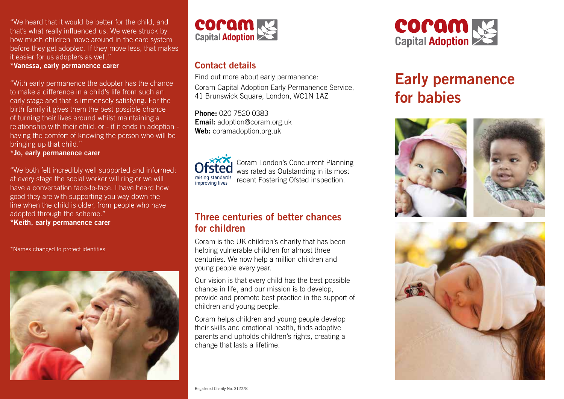"We heard that it would be better for the child, and that's what really influenced us. We were struck by how much children move around in the care system before they get adopted. If they move less, that makes it easier for us adopters as well."

#### **\*Vanessa, early permanence carer**

"With early permanence the adopter has the chance to make a difference in a child's life from such an early stage and that is immensely satisfying. For the birth family it gives them the best possible chance of turning their lives around whilst maintaining a relationship with their child, or - if it ends in adoption having the comfort of knowing the person who will be bringing up that child."

#### **\*Jo, early permanence carer**

"We both felt incredibly well supported and informed; at every stage the social worker will ring or we will have a conversation face-to-face. I have heard how good they are with supporting you way down the line when the child is older, from people who have adopted through the scheme."

**\*Keith, early permanence carer** 

\*Names changed to protect identities





## **Contact details**

Find out more about early permanence: Coram Capital Adoption Early Permanence Service, 41 Brunswick Square, London, WC1N 1AZ

**Phone:** 020 7520 0383 **Email:** adoption@coram.org.uk **Web:** coramadoption.org.uk



Coram London's Concurrent Planning was rated as Outstanding in its most recent Fostering Ofsted inspection.

#### **Three centuries of better chances for children**

Coram is the UK children's charity that has been helping vulnerable children for almost three centuries. We now help a million children and young people every year.

Our vision is that every child has the best possible chance in life, and our mission is to develop, provide and promote best practice in the support of children and young people.

Coram helps children and young people develop their skills and emotional health, finds adoptive parents and upholds children's rights, creating a change that lasts a lifetime.



# **Early permanence for babies**